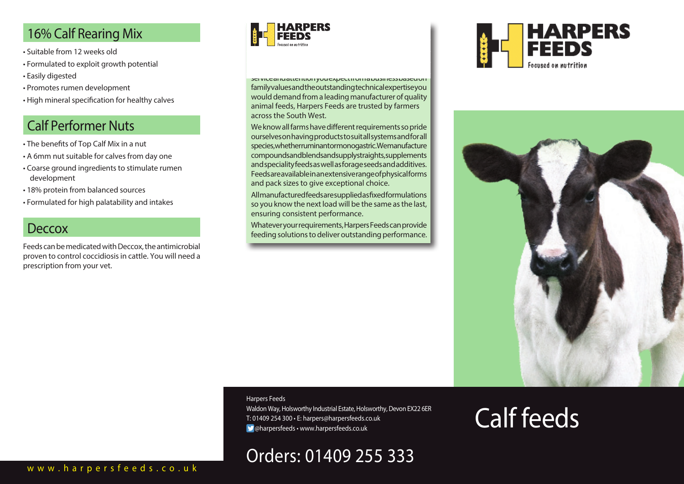# 16% Calf Rearing Mix

- Suitable from 12 weeks old
- Formulated to exploit growth potential
- Easily digested
- Promotes rumen development
- High mineral specification for healthy calves

# Calf Performer Nuts

- The benefits of Top Calf Mix in a nut
- A 6mm nut suitable for calves from day one
- Coarse ground ingredients to stimulate rumen development
- 18% protein from balanced sources
- Formulated for high palatability and intakes

### **Deccox**

Feeds can be medicated with Deccox, the antimicrobial proven to control coccidiosis in cattle. You will need a prescription from your vet.



service and attention ryou expect morn a business based on family values and the outstanding technical expertise you would demand from a leading manufacturer of quality animal feeds, Harpers Feeds are trusted by farmers across the South West.

We know all farms have different requirements so pride ourselves on having products to suit all systems and for all species, whether ruminant or monogastric. We manufacture compounds and blends and supply straights, supplements and speciality feeds as well as forage seeds and additives. Feeds are available in an extensive range of physical forms and pack sizes to give exceptional choice.

All manufactured feeds are supplied as fixed formulations so you know the next load will be the same as the last, ensuring consistent performance.

Whatever your requirements, Harpers Feeds can provide feeding solutions to deliver outstanding performance.





Calf feeds

#### Harpers Feeds

Waldon Way, Holsworthy Industrial Estate, Holsworthy, Devon EX22 6ER T: 01409 254 300 • E: harpers@harpersfeeds.co.uk @harpersfeeds • www.harpersfeeds.co.uk

# Orders: 01409 255 333

#### www.harpersfeeds.co.uk